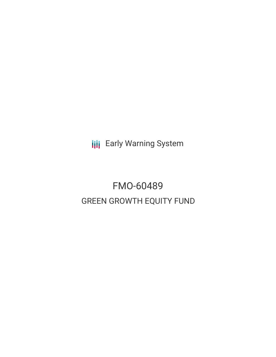**III** Early Warning System

# FMO-60489 GREEN GROWTH EQUITY FUND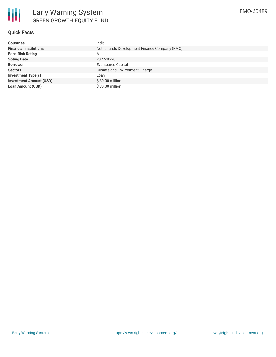

## **Quick Facts**

| <b>Countries</b>               | India                                         |
|--------------------------------|-----------------------------------------------|
| <b>Financial Institutions</b>  | Netherlands Development Finance Company (FMO) |
| <b>Bank Risk Rating</b>        | A                                             |
| <b>Voting Date</b>             | 2022-10-20                                    |
| <b>Borrower</b>                | <b>Eversource Capital</b>                     |
| <b>Sectors</b>                 | Climate and Environment, Energy               |
| <b>Investment Type(s)</b>      | Loan                                          |
| <b>Investment Amount (USD)</b> | \$30.00 million                               |
| <b>Loan Amount (USD)</b>       | \$30.00 million                               |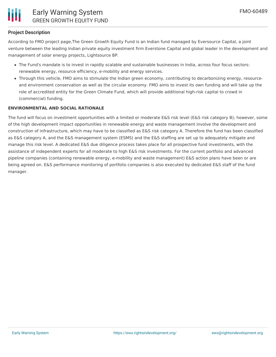

## **Project Description**

According to FMO project page,The Green Growth Equity Fund is an Indian fund managed by Eversource Capital, a joint venture between the leading Indian private equity investment firm Everstone Capital and global leader in the development and management of solar energy projects, Lightsource BP.

- The Fund's mandate is to invest in rapidly scalable and sustainable businesses in India, across four focus sectors: renewable energy, resource efficiency, e-mobility and energy services.
- Through this vehicle, FMO aims to stimulate the Indian green economy, contributing to decarbonizing energy, resourceand environment conservation as well as the circular economy. FMO aims to invest its own funding and will take up the role of accredited entity for the Green Climate Fund, which will provide additional high-risk capital to crowd in (commercial) funding.

#### **ENVIRONMENTAL AND SOCIAL RATIONALE**

The fund will focus on investment opportunities with a limited or moderate E&S risk level (E&S risk category B); however, some of the high development impact opportunities in renewable energy and waste management involve the development and construction of infrastructure, which may have to be classified as E&S risk category A. Therefore the fund has been classified as E&S category A, and the E&S management system (ESMS) and the E&S staffing are set up to adequately mitigate and manage this risk level. A dedicated E&S due diligence process takes place for all prospective fund investments, with the assistance of independent experts for all moderate to high E&S risk investments. For the current portfolio and advanced pipeline companies (containing renewable energy, e-mobility and waste management) E&S action plans have been or are being agreed on. E&S performance monitoring of portfolio companies is also executed by dedicated E&S staff of the fund manager.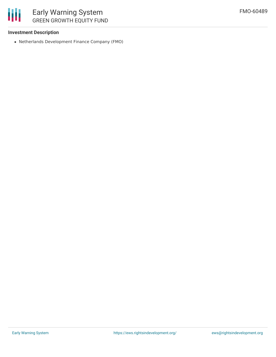

# **Investment Description**

Netherlands Development Finance Company (FMO)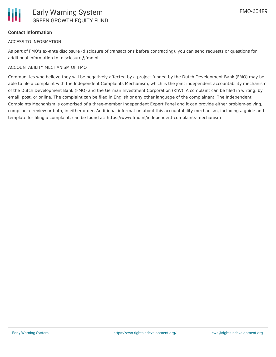## **Contact Information**

#### ACCESS TO INFORMATION

As part of FMO's ex-ante disclosure (disclosure of transactions before contracting), you can send requests or questions for additional information to: disclosure@fmo.nl

# ACCOUNTABILITY MECHANISM OF FMO

Communities who believe they will be negatively affected by a project funded by the Dutch Development Bank (FMO) may be able to file a complaint with the Independent Complaints Mechanism, which is the joint independent accountability mechanism of the Dutch Development Bank (FMO) and the German Investment Corporation (KfW). A complaint can be filed in writing, by email, post, or online. The complaint can be filed in English or any other language of the complainant. The Independent Complaints Mechanism is comprised of a three-member Independent Expert Panel and it can provide either problem-solving, compliance review or both, in either order. Additional information about this accountability mechanism, including a guide and template for filing a complaint, can be found at: https://www.fmo.nl/independent-complaints-mechanism